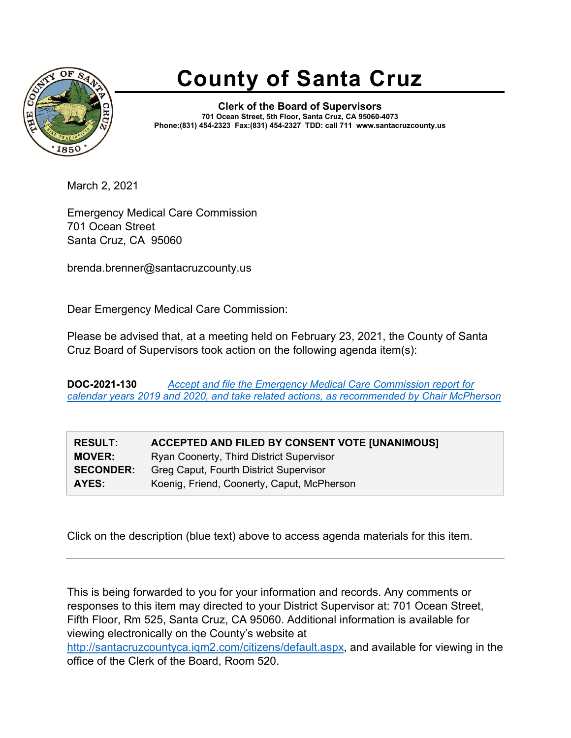

## **County of Santa Cruz**

**Clerk of the Board of Supervisors 701 Ocean Street, 5th Floor, Santa Cruz, CA 95060-4073 Phone:(831) 454-2323 Fax:(831) 454-2327 TDD: call 711 www.santacruzcounty.us**

March 2, 2021

Emergency Medical Care Commission 701 Ocean Street Santa Cruz, CA 95060

brenda.brenner@santacruzcounty.us

Dear Emergency Medical Care Commission:

Please be advised that, at a meeting held on February 23, 2021, the County of Santa Cruz Board of Supervisors took action on the following agenda item(s):

**DOC-2021-130** *[Accept and file the Emergency Medical Care Commission report for](http://santacruzcountyca.iqm2.com/Citizens/Detail_LegiFile.aspx?&ID=10305&CssClass=9)  [calendar years 2019 and 2020, and take related actions, as recommended by Chair McPherson](http://santacruzcountyca.iqm2.com/Citizens/Detail_LegiFile.aspx?&ID=10305&CssClass=9)*

| <b>RESULT:</b>   | ACCEPTED AND FILED BY CONSENT VOTE [UNANIMOUS] |
|------------------|------------------------------------------------|
| <b>MOVER:</b>    | Ryan Coonerty, Third District Supervisor       |
| <b>SECONDER:</b> | Greg Caput, Fourth District Supervisor         |
| AYES:            | Koenig, Friend, Coonerty, Caput, McPherson     |

Click on the description (blue text) above to access agenda materials for this item.

This is being forwarded to you for your information and records. Any comments or responses to this item may directed to your District Supervisor at: 701 Ocean Street, Fifth Floor, Rm 525, Santa Cruz, CA 95060. Additional information is available for viewing electronically on the County's website at [http://santacruzcountyca.iqm2.com/citizens/default.aspx,](http://santacruzcountyca.iqm2.com/citizens/default.aspx) and available for viewing in the office of the Clerk of the Board, Room 520.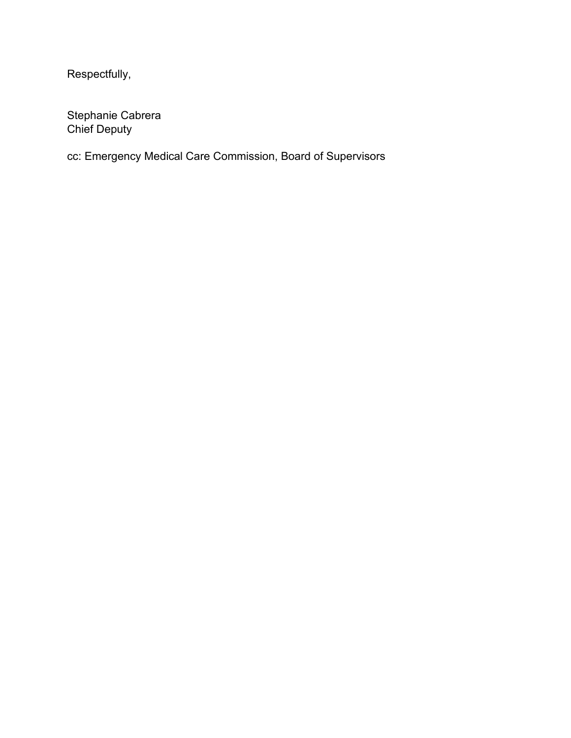Respectfully,

Stephanie Cabrera Chief Deputy

cc: Emergency Medical Care Commission, Board of Supervisors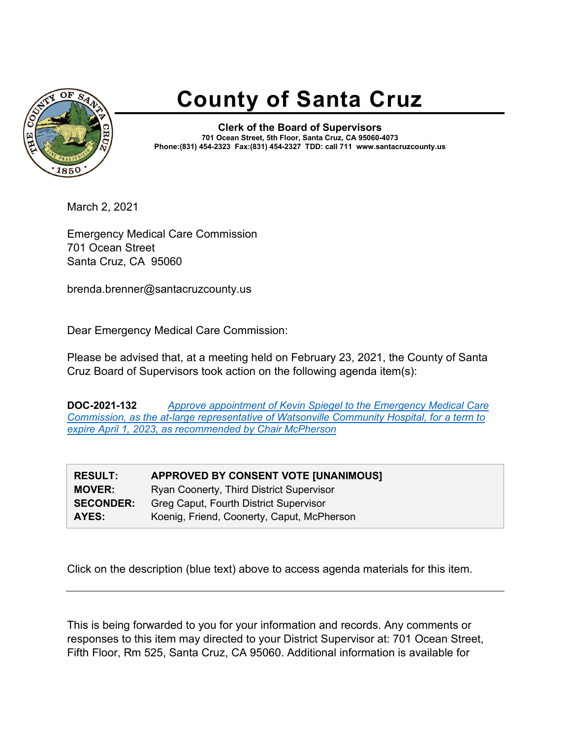

## **County of Santa Cruz**

**Clerk of the Board of Supervisors 701 Ocean Street, 5th Floor, Santa Cruz, CA 95060-4073 Phone:(831) 454-2323 Fax:(831) 454-2327 TDD: call 711 www.santacruzcounty.us**

March 2, 2021

Emergency Medical Care Commission 701 Ocean Street Santa Cruz, CA 95060

brenda.brenner@santacruzcounty.us

Dear Emergency Medical Care Commission:

Please be advised that, at a meeting held on February 23, 2021, the County of Santa Cruz Board of Supervisors took action on the following agenda item(s):

**DOC-2021-132** *[Approve appointment of Kevin Spiegel to the Emergency Medical Care](http://santacruzcountyca.iqm2.com/Citizens/Detail_LegiFile.aspx?&ID=10260&CssClass=9)  [Commission, as the at-large representative of Watsonville Community Hospital, for a term to](http://santacruzcountyca.iqm2.com/Citizens/Detail_LegiFile.aspx?&ID=10260&CssClass=9)  [expire April 1, 2023, as recommended by Chair McPherson](http://santacruzcountyca.iqm2.com/Citizens/Detail_LegiFile.aspx?&ID=10260&CssClass=9)*

| <b>APPROVED BY CONSENT VOTE [UNANIMOUS]</b> |
|---------------------------------------------|
| Ryan Coonerty, Third District Supervisor    |
| Greg Caput, Fourth District Supervisor      |
| Koenig, Friend, Coonerty, Caput, McPherson  |
|                                             |

Click on the description (blue text) above to access agenda materials for this item.

This is being forwarded to you for your information and records. Any comments or responses to this item may directed to your District Supervisor at: 701 Ocean Street, Fifth Floor, Rm 525, Santa Cruz, CA 95060. Additional information is available for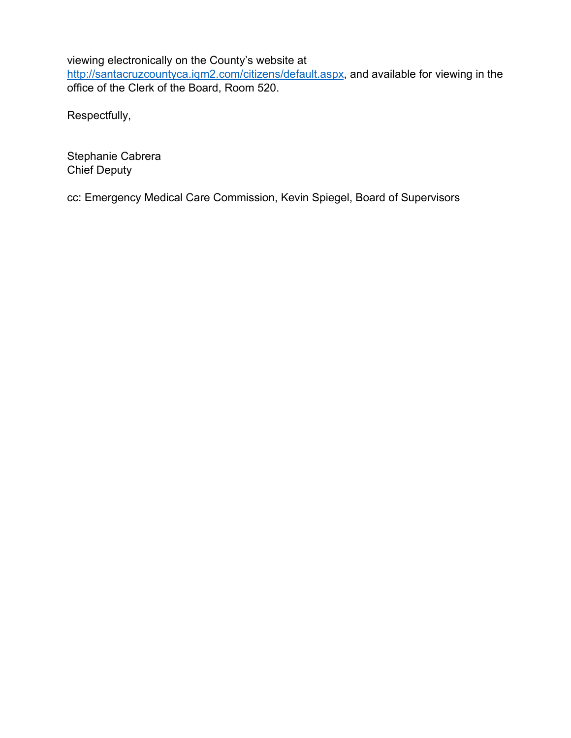viewing electronically on the County's website at

[http://santacruzcountyca.iqm2.com/citizens/default.aspx,](http://santacruzcountyca.iqm2.com/citizens/default.aspx) and available for viewing in the office of the Clerk of the Board, Room 520.

Respectfully,

Stephanie Cabrera Chief Deputy

cc: Emergency Medical Care Commission, Kevin Spiegel, Board of Supervisors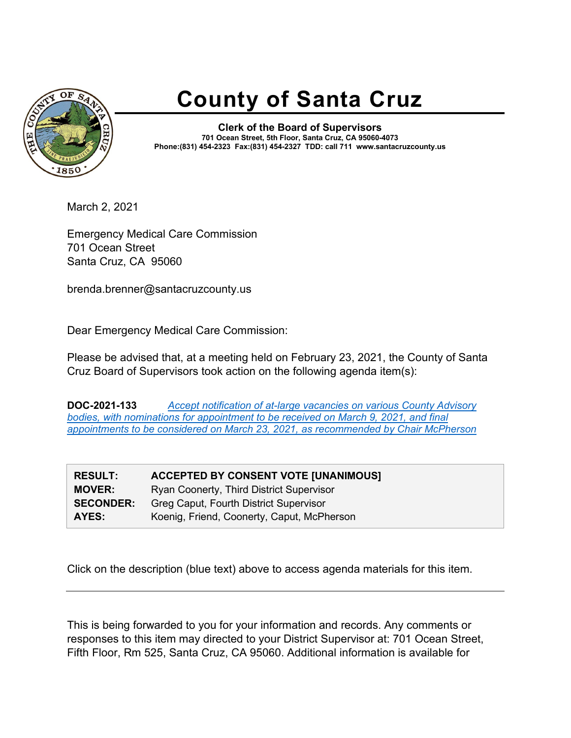

## **County of Santa Cruz**

**Clerk of the Board of Supervisors 701 Ocean Street, 5th Floor, Santa Cruz, CA 95060-4073 Phone:(831) 454-2323 Fax:(831) 454-2327 TDD: call 711 www.santacruzcounty.us**

March 2, 2021

Emergency Medical Care Commission 701 Ocean Street Santa Cruz, CA 95060

brenda.brenner@santacruzcounty.us

Dear Emergency Medical Care Commission:

Please be advised that, at a meeting held on February 23, 2021, the County of Santa Cruz Board of Supervisors took action on the following agenda item(s):

**DOC-2021-133** *[Accept notification of at-large vacancies on various County Advisory](http://santacruzcountyca.iqm2.com/Citizens/Detail_LegiFile.aspx?&ID=10263&CssClass=9)  [bodies, with nominations for appointment to be received on March 9, 2021, and final](http://santacruzcountyca.iqm2.com/Citizens/Detail_LegiFile.aspx?&ID=10263&CssClass=9)  [appointments to be considered on March 23, 2021, as recommended by Chair McPherson](http://santacruzcountyca.iqm2.com/Citizens/Detail_LegiFile.aspx?&ID=10263&CssClass=9)*

| <b>RESULT:</b>   | <b>ACCEPTED BY CONSENT VOTE [UNANIMOUS]</b> |
|------------------|---------------------------------------------|
| <b>MOVER:</b>    | Ryan Coonerty, Third District Supervisor    |
| <b>SECONDER:</b> | Greg Caput, Fourth District Supervisor      |
| AYES:            | Koenig, Friend, Coonerty, Caput, McPherson  |

Click on the description (blue text) above to access agenda materials for this item.

This is being forwarded to you for your information and records. Any comments or responses to this item may directed to your District Supervisor at: 701 Ocean Street, Fifth Floor, Rm 525, Santa Cruz, CA 95060. Additional information is available for